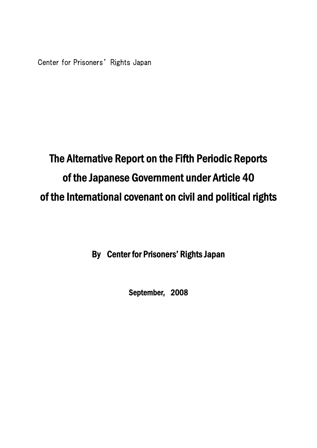# The Alternative Report on the Fifth Periodic Reports of the Japanese Government under Article 40 of the International covenant on civil and political rights

By Center for Prisoners' Rights Japan

September, 2008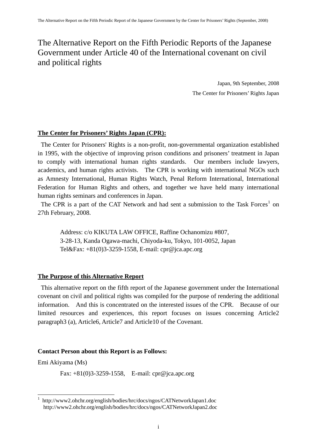# The Alternative Report on the Fifth Periodic Reports of the Japanese Government under Article 40 of the International covenant on civil and political rights

Japan, 9th September, 2008 The Center for Prisoners' Rights Japan

# **The Center for Prisoners' Rights Japan (CPR):**

The Center for Prisoners' Rights is a non-profit, non-governmental organization established in 1995, with the objective of improving prison condi*t*ions and prisoners' treatment in Japan to comply with international human rights standards. Our members include lawyers, academics, and human rights activists. The CPR is working with international NGOs such as Amnesty International, Human Rights Watch, Penal Reform International, International Federation for Human Rights and others, and together we have held many international human rights seminars and conferences in Japan.

The CPR is a part of the CAT Network and had sent a submission to the Task Forces<sup>[1](#page-1-0)</sup> on 27th February, 2008.

Address: c/o KIKUTA LAW OFFICE, Raffine Ochanomizu #807, 3-28-13, Kanda Ogawa-machi, Chiyoda-ku, Tokyo, 101-0052, Japan Tel&Fax: +81(0)3-3259-1558, E-mail: cpr@jca.apc.org

# **The Purpose of this Alternative Report**

This alternative report on the fifth report of the Japanese government under the International covenant on civil and political rights was compiled for the purpose of rendering the additional information. And this is concentrated on the interested issues of the CPR. Because of our limited resources and experiences, this report focuses on issues concerning Article2 paragraph3 (a), Article6, Article7 and Article10 of the Covenant.

# **Contact Person about this Report is as Follows:**

Emi Akiyama (Ms)

-

Fax: +81(0)3-3259-1558, E-mail: cpr@jca.apc.org

<span id="page-1-0"></span><sup>1</sup> <http://www2.ohchr.org/english/bodies/hrc/docs/ngos/CATNetworkJapan1.doc> http://www2.ohchr.org/english/bodies/hrc/docs/ngos/CATNetworkJapan2.doc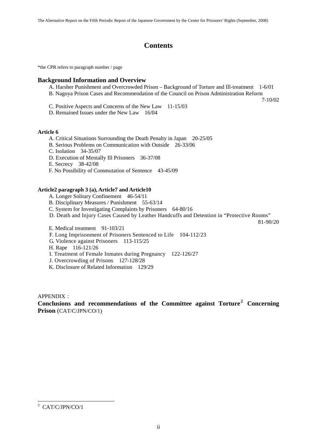# **Contents**

\*the CPR refers to paragraph number / page

#### **Background Information and Overview**

- A. Harsher Punishment and Overcrowded Prison Background of Torture and Ill-treatment 1-6/01
- B. Nagoya Prison Cases and Recommendation of the Council on Prison Administration Reform

7-10/02

- C. Positive Aspects and Concerns of the New Law 11-15/03
- D. Remained Issues under the New Law 16/04

#### **Article 6**

- A. Critical Situations Surrounding the Death Penalty in Japan 20-25/05
- B. Serious Problems on Communication with Outside 26-33/06
- C. Isolation 34-35/07
- D. Execution of Mentally Ill Prisoners 36-37/08
- E. Secrecy 38-42/08
- F. No Possibility of Commutation of Sentence 43-45/09

#### **Article2 paragraph 3 (a), Article7 and Article10**

- A. Longer Solitary Confinement 46-54/11
- B. Disciplinary Measures / Punishment 55-63/14
- C. System for Investigating Complaints by Prisoners 64-80/16
- D. Death and Injury Cases Caused by Leather Handcuffs and Detention in "Protective Rooms"

81-90/20

- E. Medical treatment 91-103/21
- F. Long Imprisonment of Prisoners Sentenced to Life 104-112/23
- G. Violence against Prisoners 113-115/25
- H. Rape 116-121/26
- I. Treatment of Female Inmates during Pregnancy 122-126/27
- J. Overcrowding of Prisons 127-128/28
- K. Disclosure of Related Information 129/29

 $APPENDIX$ 

**Conclusions and recommendations of the Committee against Torture [2](#page-2-0) Concerning Prison** (CAT/C/JPN/CO/1)

<span id="page-2-0"></span><sup>&</sup>lt;sup>2</sup> CAT/C/JPN/CO/1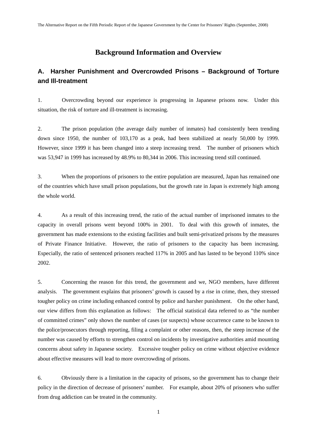# **Background Information and Overview**

# **A. Harsher Punishment and Overcrowded Prisons – Background of Torture and Ill-treatment**

1. Overcrowding beyond our experience is progressing in Japanese prisons now. Under this situation, the risk of torture and ill-treatment is increasing.

2. The prison population (the average daily number of inmates) had consistently been trending down since 1950, the number of 103,170 as a peak, had been stabilized at nearly 50,000 by 1999. However, since 1999 it has been changed into a steep increasing trend. The number of prisoners which was 53,947 in 1999 has increased by 48.9% to 80,344 in 2006. This increasing trend still continued.

3. When the proportions of prisoners to the entire population are measured, Japan has remained one of the countries which have small prison populations, but the growth rate in Japan is extremely high among the whole world.

4. As a result of this increasing trend, the ratio of the actual number of imprisoned inmates to the capacity in overall prisons went beyond 100% in 2001. To deal with this growth of inmates, the government has made extensions to the existing facilities and built semi-privatized prisons by the measures of Private Finance Initiative. However, the ratio of prisoners to the capacity has been increasing. Especially, the ratio of sentenced prisoners reached 117% in 2005 and has lasted to be beyond 110% since 2002.

5. Concerning the reason for this trend, the government and we, NGO members, have different analysis. The government explains that prisoners' growth is caused by a rise in crime, then, they stressed tougher policy on crime including enhanced control by police and harsher punishment. On the other hand, our view differs from this explanation as follows: The official statistical data referred to as "the number of committed crimes" only shows the number of cases (or suspects) whose occurrence came to be known to the police/prosecutors through reporting, filing a complaint or other reasons, then, the steep increase of the number was caused by efforts to strengthen control on incidents by investigative authorities amid mounting concerns about safety in Japanese society. Excessive tougher policy on crime without objective evidence about effective measures will lead to more overcrowding of prisons.

6. Obviously there is a limitation in the capacity of prisons, so the government has to change their policy in the direction of decrease of prisoners' number. For example, about 20% of prisoners who suffer from drug addiction can be treated in the community.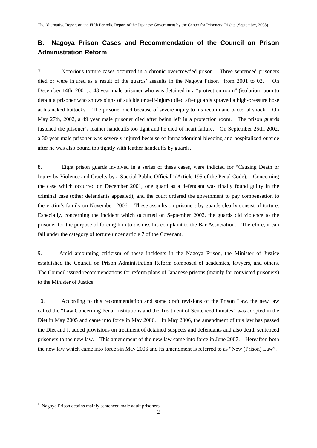# **B. Nagoya Prison Cases and Recommendation of the Council on Prison Administration Reform**

7. Notorious torture cases occurred in a chronic overcrowded prison. Three sentenced prisoners died or were injured as a result of the guards' assaults in the Nagoya Prison<sup>[1](#page-4-0)</sup> from 2001 to 02. On December 14th, 2001, a 43 year male prisoner who was detained in a "protection room" (isolation room to detain a prisoner who shows signs of suicide or self-injury) died after guards sprayed a high-pressure hose at his naked buttocks. The prisoner died because of severe injury to his rectum and bacterial shock. On May 27th, 2002, a 49 year male prisoner died after being left in a protection room. The prison guards fastened the prisoner's leather handcuffs too tight and he died of heart failure. On September 25th, 2002, a 30 year male prisoner was severely injured because of intraabdominal bleeding and hospitalized outside after he was also bound too tightly with leather handcuffs by guards.

8. Eight prison guards involved in a series of these cases, were indicted for "Causing Death or Injury by Violence and Cruelty by a Special Public Official" (Article 195 of the Penal Code). Concerning the case which occurred on December 2001, one guard as a defendant was finally found guilty in the criminal case (other defendants appealed), and the court ordered the government to pay compensation to the victim's family on November, 2006. These assaults on prisoners by guards clearly consist of torture. Especially, concerning the incident which occurred on September 2002, the guards did violence to the prisoner for the purpose of forcing him to dismiss his complaint to the Bar Association. Therefore, it can fall under the category of torture under article 7 of the Covenant.

9. Amid amounting criticism of these incidents in the Nagoya Prison, the Minister of Justice established the Council on Prison Administration Reform composed of academics, lawyers, and others. The Council issued recommendations for reform plans of Japanese prisons (mainly for convicted prisoners) to the Minister of Justice.

10. According to this recommendation and some draft revisions of the Prison Law, the new law called the "Law Concerning Penal Institutions and the Treatment of Sentenced Inmates" was adopted in the Diet in May 2005 and came into force in May 2006. In May 2006, the amendment of this law has passed the Diet and it added provisions on treatment of detained suspects and defendants and also death sentenced prisoners to the new law. This amendment of the new law came into force in June 2007. Hereafter, both the new law which came into force sin May 2006 and its amendment is referred to as "New (Prison) Law".

-

<span id="page-4-0"></span><sup>&</sup>lt;sup>1</sup> Nagoya Prison detains mainly sentenced male adult prisoners.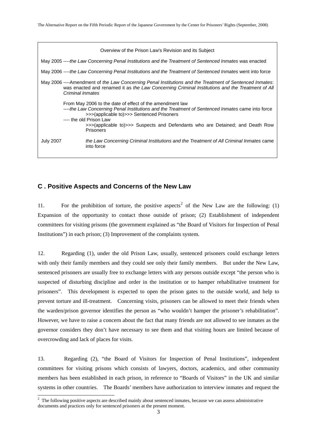| Overview of the Prison Law's Revision and its Subject                                                                                                                                                                                                                                                                                     |
|-------------------------------------------------------------------------------------------------------------------------------------------------------------------------------------------------------------------------------------------------------------------------------------------------------------------------------------------|
| May 2005 ----the Law Concerning Penal Institutions and the Treatment of Sentenced Inmates was enacted                                                                                                                                                                                                                                     |
| May 2006 ----the Law Concerning Penal Institutions and the Treatment of Sentenced Inmates went into force                                                                                                                                                                                                                                 |
| May 2006 ----Amendment of the Law Concerning Penal Institutions and the Treatment of Sentenced Inmates:<br>was enacted and renamed it as the Law Concerning Criminal Institutions and the Treatment of All<br>Criminal Inmates                                                                                                            |
| From May 2006 to the date of effect of the amendment law<br>----the Law Concerning Penal Institutions and the Treatment of Sentenced Inmates came into force<br>>>>(applicable to)>>> Sentenced Prisoners<br>---- the old Prison Law<br>>>>(applicable to)>>> Suspects and Defendants who are Detained; and Death Row<br><b>Prisoners</b> |
| <b>July 2007</b><br>the Law Concerning Criminal Institutions and the Treatment of All Criminal Inmates came<br>into force                                                                                                                                                                                                                 |

# **C . Positive Aspects and Concerns of the New Law**

11. For the prohibition of torture, the positive aspects<sup>[2](#page-5-0)</sup> of the New Law are the following: (1) Expansion of the opportunity to contact those outside of prison; (2) Establishment of independent committees for visiting prisons (the government explained as "the Board of Visitors for Inspection of Penal Institutions") in each prison; (3) Improvement of the complaints system.

12. Regarding (1), under the old Prison Law, usually, sentenced prisoners could exchange letters with only their family members and they could see only their family members. But under the New Law, sentenced prisoners are usually free to exchange letters with any persons outside except "the person who is suspected of disturbing discipline and order in the institution or to hamper rehabilitative treatment for prisoners". This development is expected to open the prison gates to the outside world, and help to prevent torture and ill-treatment. Concerning visits, prisoners can be allowed to meet their friends when the warden/prison governor identifies the person as "who wouldn't hamper the prisoner's rehabilitation". However, we have to raise a concern about the fact that many friends are not allowed to see inmates as the governor considers they don't have necessary to see them and that visiting hours are limited because of overcrowding and lack of places for visits.

13. Regarding (2), "the Board of Visitors for Inspection of Penal Institutions", independent committees for visiting prisons which consists of lawyers, doctors, academics, and other community members has been established in each prison, in reference to "Boards of Visitors" in the UK and similar systems in other countries. The Boards' members have authorization to interview inmates and request the

<span id="page-5-0"></span>The following positive aspects are described mainly about sentenced inmates, because we can assess administrative documents and practices only for sentenced prisoners at the present moment.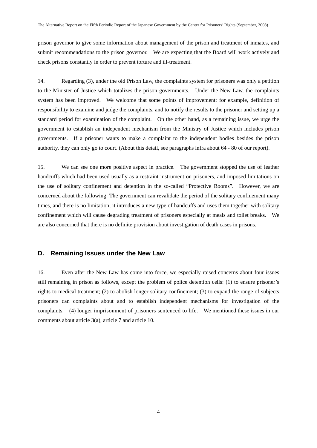prison governor to give some information about management of the prison and treatment of inmates, and submit recommendations to the prison governor. We are expecting that the Board will work actively and check prisons constantly in order to prevent torture and ill-treatment.

14. Regarding (3), under the old Prison Law, the complaints system for prisoners was only a petition to the Minister of Justice which totalizes the prison governments. Under the New Law, the complaints system has been improved. We welcome that some points of improvement: for example, definition of responsibility to examine and judge the complaints, and to notify the results to the prisoner and setting up a standard period for examination of the complaint. On the other hand, as a remaining issue, we urge the government to establish an independent mechanism from the Ministry of Justice which includes prison governments. If a prisoner wants to make a complaint to the independent bodies besides the prison authority, they can only go to court. (About this detail, see paragraphs infra about 64 - 80 of our report).

15. We can see one more positive aspect in practice. The government stopped the use of leather handcuffs which had been used usually as a restraint instrument on prisoners, and imposed limitations on the use of solitary confinement and detention in the so-called "Protective Rooms". However, we are concerned about the following: The government can revalidate the period of the solitary confinement many times, and there is no limitation; it introduces a new type of handcuffs and uses them together with solitary confinement which will cause degrading treatment of prisoners especially at meals and toilet breaks. We are also concerned that there is no definite provision about investigation of death cases in prisons.

### **D. Remaining Issues under the New Law**

16. Even after the New Law has come into force, we especially raised concerns about four issues still remaining in prison as follows, except the problem of police detention cells: (1) to ensure prisoner's rights to medical treatment; (2) to abolish longer solitary confinement; (3) to expand the range of subjects prisoners can complaints about and to establish independent mechanisms for investigation of the complaints. (4) longer imprisonment of prisoners sentenced to life. We mentioned these issues in our comments about article 3(a), article 7 and article 10.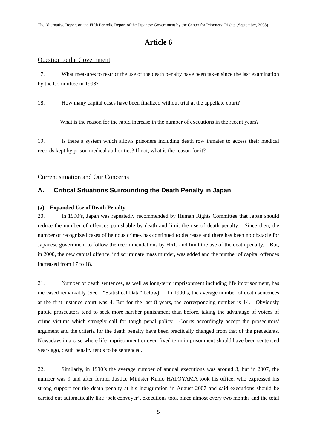# **Article 6**

#### Question to the Government

17. What measures to restrict the use of the death penalty have been taken since the last examination by the Committee in 1998?

18. How many capital cases have been finalized without trial at the appellate court?

What is the reason for the rapid increase in the number of executions in the recent years?

19. Is there a system which allows prisoners including death row inmates to access their medical records kept by prison medical authorities? If not, what is the reason for it?

#### Current situation and Our Concerns

# **A. Critical Situations Surrounding the Death Penalty in Japan**

#### **(a) Expanded Use of Death Penalty**

20. In 1990's, Japan was repeatedly recommended by Human Rights Committee that Japan should reduce the number of offences punishable by death and limit the use of death penalty. Since then, the number of recognized cases of heinous crimes has continued to decrease and there has been no obstacle for Japanese government to follow the recommendations by HRC and limit the use of the death penalty. But, in 2000, the new capital offence, indiscriminate mass murder, was added and the number of capital offences increased from 17 to 18.

21. Number of death sentences, as well as long-term imprisonment including life imprisonment, has increased remarkably (See "Statistical Data" below). In 1990's, the average number of death sentences at the first instance court was 4. But for the last 8 years, the corresponding number is 14. Obviously public prosecutors tend to seek more harsher punishment than before, taking the advantage of voices of crime victims which strongly call for tough penal policy. Courts accordingly accept the prosecutors' argument and the criteria for the death penalty have been practically changed from that of the precedents. Nowadays in a case where life imprisonment or even fixed term imprisonment should have been sentenced years ago, death penalty tends to be sentenced.

22. Similarly, in 1990's the average number of annual executions was around 3, but in 2007, the number was 9 and after former Justice Minister Kunio HATOYAMA took his office, who expressed his strong support for the death penalty at his inauguration in August 2007 and said executions should be carried out automatically like 'belt conveyer', executions took place almost every two months and the total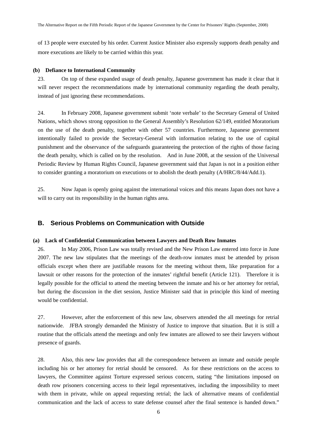of 13 people were executed by his order. Current Justice Minister also expressly supports death penalty and more executions are likely to be carried within this year.

#### **(b) Defiance to International Community**

23. On top of these expanded usage of death penalty, Japanese government has made it clear that it will never respect the recommendations made by international community regarding the death penalty, instead of just ignoring these recommendations.

24. In February 2008, Japanese government submit 'note verbale' to the Secretary General of United Nations, which shows strong opposition to the General Assembly's Resolution 62/149, entitled Moratorium on the use of the death penalty, together with other 57 countries. Furthermore, Japanese government intentionally failed to provide the Secretary-General with information relating to the use of capital punishment and the observance of the safeguards guaranteeing the protection of the rights of those facing the death penalty, which is called on by the resolution. And in June 2008, at the session of the Universal Periodic Review by Human Rights Council, Japanese government said that Japan is not in a position either to consider granting a moratorium on executions or to abolish the death penalty (A/HRC/8/44/Add.1).

25. Now Japan is openly going against the international voices and this means Japan does not have a will to carry out its responsibility in the human rights area.

# **B. Serious Problems on Communication with Outside**

#### **(a) Lack of Confidential Communication between Lawyers and Death Row Inmates**

26. In May 2006, Prison Law was totally revised and the New Prison Law entered into force in June 2007. The new law stipulates that the meetings of the death-row inmates must be attended by prison officials except when there are justifiable reasons for the meeting without them, like preparation for a lawsuit or other reasons for the protection of the inmates' rightful benefit (Article 121). Therefore it is legally possible for the official to attend the meeting between the inmate and his or her attorney for retrial, but during the discussion in the diet session, Justice Minister said that in principle this kind of meeting would be confidential.

27. However, after the enforcement of this new law, observers attended the all meetings for retrial nationwide. JFBA strongly demanded the Ministry of Justice to improve that situation. But it is still a routine that the officials attend the meetings and only few inmates are allowed to see their lawyers without presence of guards.

28. Also, this new law provides that all the correspondence between an inmate and outside people including his or her attorney for retrial should be censored. As for these restrictions on the access to lawyers, the Committee against Torture expressed serious concern, stating "the limitations imposed on death row prisoners concerning access to their legal representatives, including the impossibility to meet with them in private, while on appeal requesting retrial; the lack of alternative means of confidential communication and the lack of access to state defense counsel after the final sentence is handed down."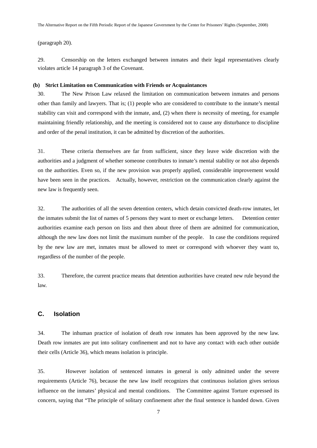(paragraph 20).

29. Censorship on the letters exchanged between inmates and their legal representatives clearly violates article 14 paragraph 3 of the Covenant.

#### **(b) Strict Limitation on Communication with Friends or Acquaintances**

30. The New Prison Law relaxed the limitation on communication between inmates and persons other than family and lawyers. That is; (1) people who are considered to contribute to the inmate's mental stability can visit and correspond with the inmate, and, (2) when there is necessity of meeting, for example maintaining friendly relationship, and the meeting is considered not to cause any disturbance to discipline and order of the penal institution, it can be admitted by discretion of the authorities.

31. These criteria themselves are far from sufficient, since they leave wide discretion with the authorities and a judgment of whether someone contributes to inmate's mental stability or not also depends on the authorities. Even so, if the new provision was properly applied, considerable improvement would have been seen in the practices. Actually, however, restriction on the communication clearly against the new law is frequently seen.

32. The authorities of all the seven detention centers, which detain convicted death-row inmates, let the inmates submit the list of names of 5 persons they want to meet or exchange letters. Detention center authorities examine each person on lists and then about three of them are admitted for communication, although the new law does not limit the maximum number of the people. In case the conditions required by the new law are met, inmates must be allowed to meet or correspond with whoever they want to, regardless of the number of the people.

33. Therefore, the current practice means that detention authorities have created new rule beyond the law.

### **C. Isolation**

34. The inhuman practice of isolation of death row inmates has been approved by the new law. Death row inmates are put into solitary confinement and not to have any contact with each other outside their cells (Article 36), which means isolation is principle.

35. However isolation of sentenced inmates in general is only admitted under the severe requirements (Article 76), because the new law itself recognizes that continuous isolation gives serious influence on the inmates' physical and mental conditions. The Committee against Torture expressed its concern, saying that "The principle of solitary confinement after the final sentence is handed down. Given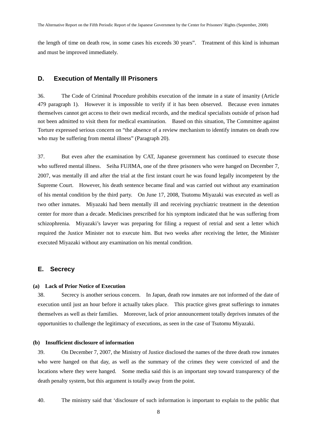the length of time on death row, in some cases his exceeds 30 years". Treatment of this kind is inhuman and must be improved immediately.

### **D. Execution of Mentally Ill Prisoners**

36. The Code of Criminal Procedure prohibits execution of the inmate in a state of insanity (Article 479 paragraph 1). However it is impossible to verify if it has been observed. Because even inmates themselves cannot get access to their own medical records, and the medical specialists outside of prison had not been admitted to visit them for medical examination. Based on this situation, The Committee against Torture expressed serious concern on "the absence of a review mechanism to identify inmates on death row who may be suffering from mental illness" (Paragraph 20).

37. But even after the examination by CAT, Japanese government has continued to execute those who suffered mental illness. Seiha FUJIMA, one of the three prisoners who were hanged on December 7, 2007, was mentally ill and after the trial at the first instant court he was found legally incompetent by the Supreme Court. However, his death sentence became final and was carried out without any examination of his mental condition by the third party. On June 17, 2008, Tsutomu Miyazaki was executed as well as two other inmates. Miyazaki had been mentally ill and receiving psychiatric treatment in the detention center for more than a decade. Medicines prescribed for his symptom indicated that he was suffering from schizophrenia. Miyazaki's lawyer was preparing for filing a request of retrial and sent a letter which required the Justice Minister not to execute him. But two weeks after receiving the letter, the Minister executed Miyazaki without any examination on his mental condition.

#### **E. Secrecy**

#### **(a) Lack of Prior Notice of Execution**

38. Secrecy is another serious concern. In Japan, death row inmates are not informed of the date of execution until just an hour before it actually takes place. This practice gives great sufferings to inmates themselves as well as their families. Moreover, lack of prior announcement totally deprives inmates of the opportunities to challenge the legitimacy of executions, as seen in the case of Tsutomu Miyazaki.

#### **(b) Insufficient disclosure of information**

39. On December 7, 2007, the Ministry of Justice disclosed the names of the three death row inmates who were hanged on that day, as well as the summary of the crimes they were convicted of and the locations where they were hanged. Some media said this is an important step toward transparency of the death penalty system, but this argument is totally away from the point.

40. The ministry said that 'disclosure of such information is important to explain to the public that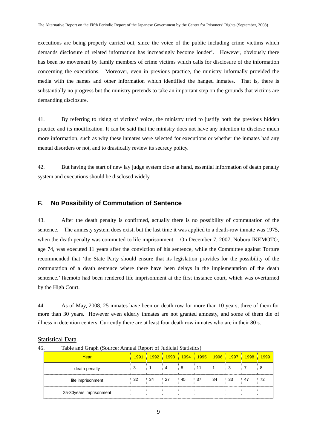executions are being properly carried out, since the voice of the public including crime victims which demands disclosure of related information has increasingly become louder'. However, obviously there has been no movement by family members of crime victims which calls for disclosure of the information concerning the executions. Moreover, even in previous practice, the ministry informally provided the media with the names and other information which identified the hanged inmates. That is, there is substantially no progress but the ministry pretends to take an important step on the grounds that victims are demanding disclosure.

41. By referring to rising of victims' voice, the ministry tried to justify both the previous hidden practice and its modification. It can be said that the ministry does not have any intention to disclose much more information, such as why these inmates were selected for executions or whether the inmates had any mental disorders or not, and to drastically review its secrecy policy.

42. But having the start of new lay judge system close at hand, essential information of death penalty system and executions should be disclosed widely.

# **F. No Possibility of Commutation of Sentence**

43. After the death penalty is confirmed, actually there is no possibility of commutation of the sentence. The amnesty system does exist, but the last time it was applied to a death-row inmate was 1975, when the death penalty was commuted to life imprisonment. On December 7, 2007, Noboru IKEMOTO, age 74, was executed 11 years after the conviction of his sentence, while the Committee against Torture recommended that 'the State Party should ensure that its legislation provides for the possibility of the commutation of a death sentence where there have been delays in the implementation of the death sentence.' Ikemoto had been rendered life imprisonment at the first instance court, which was overturned by the High Court.

44. As of May, 2008, 25 inmates have been on death row for more than 10 years, three of them for more than 30 years. However even elderly inmates are not granted amnesty, and some of them die of illness in detention centers. Currently there are at least four death row inmates who are in their 80's.

#### Statistical Data

45. Table and Graph (Source: Annual Report of Judicial Statistics)

| Year                     | 1991<br>v.   |                 | <mark>- 1992 ∔ 1993 ÷ 1994 ∔ 1995 ∔ 1996 ∔ 1997 ∔</mark> |                  |                 |             | 1998 | 1999 |
|--------------------------|--------------|-----------------|----------------------------------------------------------|------------------|-----------------|-------------|------|------|
| death penalty            |              |                 | - 8                                                      |                  |                 | 3<br>$\sim$ |      |      |
| life imprisonment        | $: 32 \t 34$ | $\therefore$ 27 | 45                                                       | $\frac{1}{2}$ 37 | $\therefore$ 34 | $\div$ 33   | ः 47 | 72   |
| 25-30 years imprisonment |              |                 |                                                          |                  |                 |             |      |      |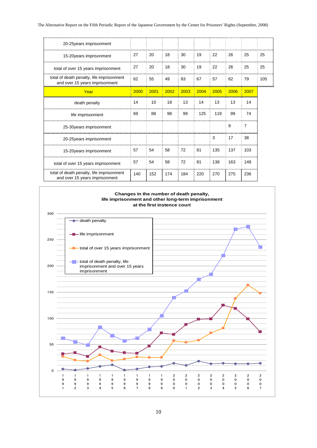| 27   | 20   | 18   | 30   | 19   | 22   | 26   | 25             | 25  |
|------|------|------|------|------|------|------|----------------|-----|
| 27   | 20   | 18   | 30   | 19   | 22   | 26   | 25             | 25  |
| 62   | 55   | 49   | 83   | 67   | 57   | 62   | 79             | 105 |
| 2000 | 2001 | 2002 | 2003 | 2004 | 2005 | 2006 | 2007           |     |
| 14   | 10   | 18   | 13   | 14   | 13   | 13   | 14             |     |
| 69   | 88   | 98   | 99   | 125  | 119  | 99   | 74             |     |
|      |      |      |      |      |      | 9    | $\overline{7}$ |     |
|      |      |      |      |      | 3    | 17   | 38             |     |
| 57   | 54   | 58   | 72   | 81   | 135  | 137  | 103            |     |
| 57   | 54   | 58   | 72   | 81   | 138  | 163  | 148            |     |
| 140  | 152  | 174  | 184  | 220  | 270  | 275  | 236            |     |
|      |      |      |      |      |      |      |                |     |

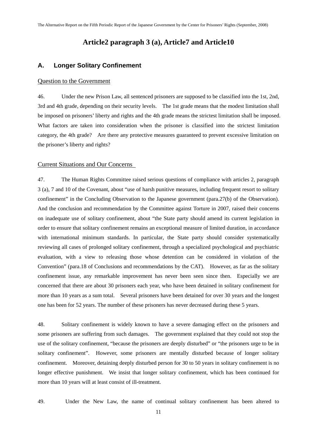# **Article2 paragraph 3 (a), Article7 and Article10**

### **A. Longer Solitary Confinement**

#### Question to the Government

46. Under the new Prison Law, all sentenced prisoners are supposed to be classified into the 1st, 2nd, 3rd and 4th grade, depending on their security levels. The 1st grade means that the modest limitation shall be imposed on prisoners' liberty and rights and the 4th grade means the strictest limitation shall be imposed. What factors are taken into consideration when the prisoner is classified into the strictest limitation category, the 4th grade? Are there any protective measures guaranteed to prevent excessive limitation on the prisoner's liberty and rights?

#### Current Situations and Our Concerns

47. The Human Rights Committee raised serious questions of compliance with articles 2, paragraph 3 (a), 7 and 10 of the Covenant, about "use of harsh punitive measures, including frequent resort to solitary confinement" in the Concluding Observation to the Japanese government (para.27(b) of the Observation). And the conclusion and recommendation by the Committee against Torture in 2007, raised their concerns on inadequate use of solitary confinement, about "the State party should amend its current legislation in order to ensure that solitary confinement remains an exceptional measure of limited duration, in accordance with international minimum standards. In particular, the State party should consider systematically reviewing all cases of prolonged solitary confinement, through a specialized psychological and psychiatric evaluation, with a view to releasing those whose detention can be considered in violation of the Convention" (para.18 of Conclusions and recommendations by the CAT). However, as far as the solitary confinement issue, any remarkable improvement has never been seen since then. Especially we are concerned that there are about 30 prisoners each year, who have been detained in solitary confinement for more than 10 years as a sum total. Several prisoners have been detained for over 30 years and the longest one has been for 52 years. The number of these prisoners has never decreased during these 5 years.

48. Solitary confinement is widely known to have a severe damaging effect on the prisoners and some prisoners are suffering from such damages. The government explained that they could not stop the use of the solitary confinement, "because the prisoners are deeply disturbed" or "the prisoners urge to be in solitary confinement". However, some prisoners are mentally disturbed because of longer solitary confinement. Moreover, detaining deeply disturbed person for 30 to 50 years in solitary confinement is no longer effective punishment. We insist that longer solitary confinement, which has been continued for more than 10 years will at least consist of ill-treatment.

49. Under the New Law, the name of continual solitary confinement has been altered to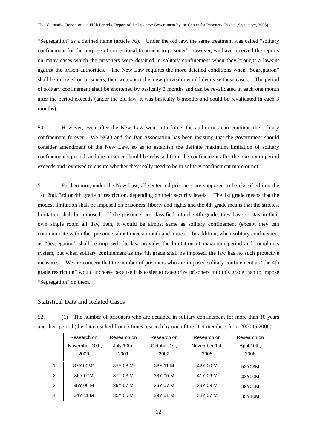"Segregation" as a defined name (article 76). Under the old law, the same treatment was called "solitary confinement for the purpose of correctional treatment to prisoner", however, we have received the reports on many cases which the prisoners were detained in solitary confinement when they brought a lawsuit against the prison authorities. The New Law requires the more detailed conditions when "Segregation" shall be imposed on prisoners, then we expect this new provision would decrease these cases. The period of solitary confinement shall be shortened by basically 3 months and can be revalidated in each one month after the period exceeds (under the old law, it was basically 6 months and could be revalidated in each 3 months).

50. However, even after the New Law went into force, the authorities can continue the solitary confinement forever. We NGO and the Bar Association has been insisting that the government should consider amendment of the New Law, so as to establish the definite maximum limitation of solitary confinement's period, and the prisoner should be released from the confinement after the maximum period exceeds and reviewed to ensure whether they really need to be in solitary confinement more or not.

51. Furthermore, under the New Law, all sentenced prisoners are supposed to be classified into the 1st, 2nd, 3rd or 4th grade of restriction, depending on their security levels. The 1st grade means that the modest limitation shall be imposed on prisoners' liberty and rights and the 4th grade means that the strictest limitation shall be imposed. If the prisoners are classified into the 4th grade, they have to stay in their own single room all day, then, it would be almost same as solitary confinement (except they can communicate with other prisoners about once a month and more). In addition, when solitary confinement as "Segregation" shall be imposed, the law provides the limitation of maximum period and complaints system, but when solitary confinement as the 4th grade shall be imposed, the law has no such protective measures. We are concern that the number of prisoners who are imposed solitary confinement as "the 4th grade restriction" would increase because it is easier to categorize prisoners into this grade than to impose "Segregation" on them.

#### Statistical Data and Related Cases

52. (1) The number of prisoners who are detained in solitary confinement for more than 10 years and their period (the data resulted from 5 times research by one of the Diet members from 2000 to 2008)

|   | Research on    | Research on | Research on  | Research on   | Research on |
|---|----------------|-------------|--------------|---------------|-------------|
|   | November 10th, | July 10th,  | October 1st, | November 1st, | April 10th, |
|   | 2000           | 2001        | 2002         | 2005          | 2008        |
|   | 37Y 00M*       | 37Y 08 M    | 38Y 11 M     | 42Y 00 M      | 52Y03M      |
| 2 | 36Y 07M        | 37Y 03 M    | 38Y 05 M     | 41Y 06 M      | 43Y00M      |
| 3 | 35Y 06 M       | 35Y 07 M    | 36Y 07 M     | 39Y 08 M      | 39Y01M      |
| 4 | 34Y 11 M       | 35Y 05 M    | 29Y 01 M     | 38Y 07 M      | 35Y10M      |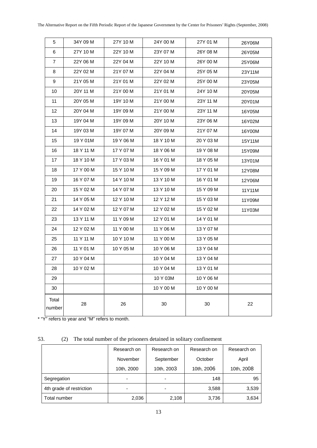| 5                 | 34Y 09 M  | 27Y 10 M  | 24Y 00 M  | 27Y 01 M  | 26Y06M |
|-------------------|-----------|-----------|-----------|-----------|--------|
| 6                 | 27Y 10 M  | 22Y 10 M  | 23Y 07 M  | 26Y 08 M  | 26Y05M |
| $\overline{7}$    | 22Y 06 M  | 22Y 04 M  | 22Y 10 M  | 26Y 00 M  | 25Y06M |
| 8                 | 22Y 02 M  | 21Y 07 M  | 22Y 04 M  | 25Y 05 M  | 23Y11M |
| 9                 | 21Y 05 M  | 21Y 01 M  | 22Y 02 M  | 25Y 00 M  | 23Y05M |
| 10                | 20Y 11 M  | 21Y 00 M  | 21Y 01 M  | 24Y 10 M  | 20Y05M |
| 11                | 20Y 05 M  | 19Y 10 M  | 21Y 00 M  | 23Y 11 M  | 20Y01M |
| $12 \overline{ }$ | 20Y 04 M  | 19Y 09 M  | 21Y 00 M  | 23Y 11 M  | 16Y05M |
| 13                | 19Y 04 M  | 19Y 09 M  | 20Y 10 M  | 23Y 06 M  | 16Y02M |
| 14                | 19Y 03 M  | 19Y 07 M  | 20Y 09 M  | 21Y 07 M  | 16Y00M |
| 15                | 19 Y 01M  | 19 Y 06 M | 18 Y 10 M | 20 Y 03 M | 15Y11M |
| 16                | 18 Y 11 M | 17 Y 07 M | 18 Y 06 M | 19 Y 08 M | 15Y09M |
| 17                | 18 Y 10 M | 17 Y 03 M | 16 Y 01 M | 18 Y 05 M | 13Y01M |
| 18                | 17 Y 00 M | 15 Y 10 M | 15 Y 09 M | 17 Y 01 M | 12Y08M |
| 19                | 16 Y 07 M | 14 Y 10 M | 13 Y 10 M | 16 Y 01 M | 12Y06M |
| 20                | 15 Y 02 M | 14 Y 07 M | 13 Y 10 M | 15 Y 09 M | 11Y11M |
| 21                | 14 Y 05 M | 12 Y 10 M | 12 Y 12 M | 15 Y 03 M | 11Y09M |
| 22                | 14 Y 02 M | 12 Y 07 M | 12 Y 02 M | 15 Y 02 M | 11Y03M |
| 23                | 13 Y 11 M | 11 Y 09 M | 12 Y 01 M | 14 Y 01 M |        |
| 24                | 12 Y 02 M | 11 Y 00 M | 11 Y 06 M | 13 Y 07 M |        |
| 25                | 11 Y 11 M | 10 Y 10 M | 11 Y 00 M | 13 Y 05 M |        |
| 26                | 11 Y 01 M | 10 Y 05 M | 10 Y 06 M | 13 Y 04 M |        |
| 27                | 10 Y 04 M |           | 10 Y 04 M | 13 Y 04 M |        |
| 28                | 10 Y 02 M |           | 10 Y 04 M | 13 Y 01 M |        |
| 29                |           |           | 10 Y 03M  | 10 Y 06 M |        |
| 30                |           |           | 10 Y 00 M | 10 Y 00 M |        |
| Total<br>number   | 28        | 26        | 30        | 30        | 22     |

\* "Y" refers to year and "M" refers to month.

53. (2) The total number of the prisoners detained in solitary confinement

|                          | Research on | Research on | Research on | Research on |
|--------------------------|-------------|-------------|-------------|-------------|
|                          | November    | September   | October     | April       |
|                          | 10th, 2000  | 10th, 2003  | 10th, 2006  | 10th, 2008  |
| Segregation              |             |             | 148         | 95          |
| 4th grade of restriction |             |             | 3,588       | 3,539       |
| Total number             | 2,036       | 2,108       | 3,736       | 3,634       |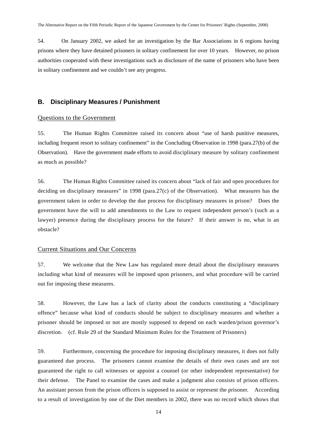54. On January 2002, we asked for an investigation by the Bar Associations in 6 regions having prisons where they have detained prisoners in solitary confinement for over 10 years. However, no prison authorities cooperated with these investigations such as disclosure of the name of prisoners who have been in solitary confinement and we couldn't see any progress.

# **B. Disciplinary Measures / Punishment**

#### Questions to the Government

55. The Human Rights Committee raised its concern about "use of harsh punitive measures, including frequent resort to solitary confinement" in the Concluding Observation in 1998 (para.27(b) of the Observation). Have the government made efforts to avoid disciplinary measure by solitary confinement as much as possible?

56. The Human Rights Committee raised its concern about "lack of fair and open procedures for deciding on disciplinary measures" in 1998 (para.27(c) of the Observation). What measures has the government taken in order to develop the due process for disciplinary measures in prison? Does the government have the will to add amendments to the Law to request independent person's (such as a lawyer) presence during the disciplinary process for the future? If their answer is no, what is an obstacle?

#### Current Situations and Our Concerns

57. We welcome that the New Law has regulated more detail about the disciplinary measures including what kind of measures will be imposed upon prisoners, and what procedure will be carried out for imposing these measures.

58. However, the Law has a lack of clarity about the conducts constituting a "disciplinary offence" because what kind of conducts should be subject to disciplinary measures and whether a prisoner should be imposed or not are mostly supposed to depend on each warden/prison governor's discretion. (cf. Rule 29 of the Standard Minimum Rules for the Treatment of Prisoners)

59. Furthermore, concerning the procedure for imposing disciplinary measures, it does not fully guaranteed due process. The prisoners cannot examine the details of their own cases and are not guaranteed the right to call witnesses or appoint a counsel (or other independent representative) for their defense. The Panel to examine the cases and make a judgment also consists of prison officers. An assistant person from the prison officers is supposed to assist or represent the prisoner. According to a result of investigation by one of the Diet members in 2002, there was no record which shows that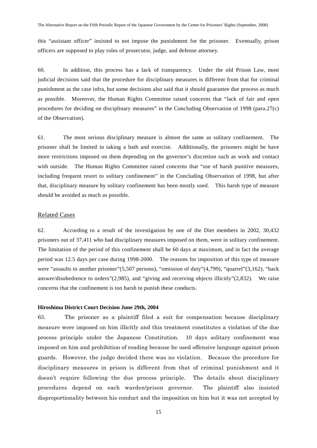this "assistant officer" insisted to not impose the punishment for the prisoner. Eventually, prison officers are supposed to play roles of prosecutor, judge, and defense attorney.

60. In addition, this process has a lack of transparency. Under the old Prison Law, most judicial decisions said that the procedure for disciplinary measures is different from that for criminal punishment as the case infra, but some decisions also said that it should guarantee due process as much as possible. Moreover, the Human Rights Committee raised concerns that "lack of fair and open procedures for deciding on disciplinary measures" in the Concluding Observation of 1998 (para.27(c) of the Observation).

61. The most serious disciplinary measure is almost the same as solitary confinement. The prisoner shall be limited in taking a bath and exercise. Additionally, the prisoners might be have more restrictions imposed on them depending on the governor's discretion such as work and contact with outside. The Human Rights Committee raised concerns that "use of harsh punitive measures, including frequent resort to solitary confinement" in the Concluding Observation of 1998, but after that, disciplinary measure by solitary confinement has been mostly used. This harsh type of measure should be avoided as much as possible.

#### Related Cases

62. According to a result of the investigation by one of the Diet members in 2002, 30,432 prisoners out of 37,411 who had disciplinary measures imposed on them, were in solitary confinement. The limitation of the period of this confinement shall be 60 days at maximum, and in fact the average period was 12.5 days per case during 1998-2000. The reasons for imposition of this type of measure were "assaults to another prisoner"(5,507 persons), "omission of duty"(4,799), "quarrel"(3,162), "back answer/disobedience to orders"(2,985), and "giving and receiving objects illicitly"(2,832). We raise concerns that the confinement is too harsh to punish these conducts.

#### **Hiroshima District Court Decision June 29th, 2004**

63. The prisoner as a plaintiff filed a suit for compensation because disciplinary measure were imposed on him illicitly and this treatment constitutes a violation of the due process principle under the Japanese Constitution. 10 days solitary confinement was imposed on him and prohibition of reading because he used offensive language against prison guards. However, the judge decided there was no violation. Because the procedure for disciplinary measures in prison is different from that of criminal punishment and it doesn't require following the due process principle. The details about disciplinary procedures depend on each warden/prison governor. The plaintiff also insisted disproportionality between his conduct and the imposition on him but it was not accepted by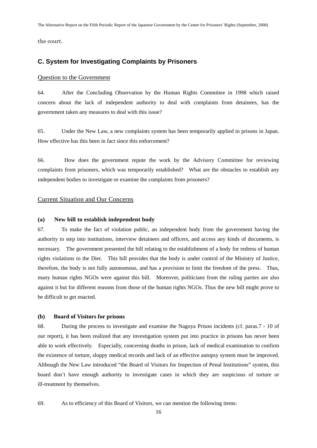the court.

# **C. System for Investigating Complaints by Prisoners**

#### Question to the Government

64. After the Concluding Observation by the Human Rights Committee in 1998 which raised concern about the lack of independent authority to deal with complaints from detainees, has the government taken any measures to deal with this issue?

65. Under the New Law, a new complaints system has been temporarily applied to prisons in Japan. How effective has this been in fact since this enforcement?

66. How does the government repute the work by the Advisory Committee for reviewing complaints from prisoners, which was temporarily established? What are the obstacles to establish any independent bodies to investigate or examine the complaints from prisoners?

#### Current Situation and Our Concerns

#### **(a) New bill to establish independent body**

67. To make the fact of violation public, an independent body from the government having the authority to step into institutions, interview detainees and officers, and access any kinds of documents, is necessary. The government presented the bill relating to the establishment of a body for redress of human rights violations to the Diet. This bill provides that the body is under control of the Ministry of Justice, therefore, the body is not fully autonomous, and has a provision to limit the freedom of the press. Thus, many human rights NGOs were against this bill. Moreover, politicians from the ruling parties are also against it but for different reasons from those of the human rights NGOs. Thus the new bill might prove to be difficult to get enacted.

#### **(b) Board of Visitors for prisons**

68. During the process to investigate and examine the Nagoya Prison incidents (cf. paras.7 - 10 of our report), it has been realized that any investigation system put into practice in prisons has never been able to work effectively. Especially, concerning deaths in prison, lack of medical examination to confirm the existence of torture, sloppy medical records and lack of an effective autopsy system must be improved. Although the New Law introduced "the Board of Visitors for Inspection of Penal Institutions" system, this board don't have enough authority to investigate cases in which they are suspicious of torture or ill-treatment by themselves.

69. As to efficiency of this Board of Visitors, we can mention the following items: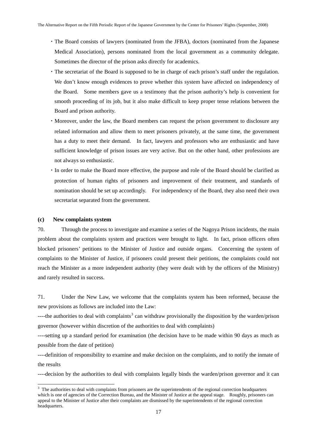- ・The Board consists of lawyers (nominated from the JFBA), doctors (nominated from the Japanese Medical Association), persons nominated from the local government as a community delegate. Sometimes the director of the prison asks directly for academics.
- ・The secretariat of the Board is supposed to be in charge of each prison's staff under the regulation. We don't know enough evidences to prove whether this system have affected on independency of the Board. Some members gave us a testimony that the prison authority's help is convenient for smooth proceeding of its job, but it also make difficult to keep proper tense relations between the Board and prison authority.
- ・Moreover, under the law, the Board members can request the prison government to disclosure any related information and allow them to meet prisoners privately, at the same time, the government has a duty to meet their demand. In fact, lawyers and professors who are enthusiastic and have sufficient knowledge of prison issues are very active. But on the other hand, other professions are not always so enthusiastic.
- ・In order to make the Board more effective, the purpose and role of the Board should be clarified as protection of human rights of prisoners and improvement of their treatment, and standards of nomination should be set up accordingly. For independency of the Board, they also need their own secretariat separated from the government.

#### **(c) New complaints system**

 $\overline{a}$ 

70. Through the process to investigate and examine a series of the Nagoya Prison incidents, the main problem about the complaints system and practices were brought to light. In fact, prison officers often blocked prisoners' petitions to the Minister of Justice and outside organs. Concerning the system of complaints to the Minister of Justice, if prisoners could present their petitions, the complaints could not reach the Minister as a more independent authority (they were dealt with by the officers of the Ministry) and rarely resulted in success.

71. Under the New Law, we welcome that the complaints system has been reformed, because the new provisions as follows are included into the Law:

----the authorities to deal with complaints<sup>[3](#page-19-0)</sup> can withdraw provisionally the disposition by the warden/prison governor (however within discretion of the authorities to deal with complaints)

----setting up a standard period for examination (the decision have to be made within 90 days as much as possible from the date of petition)

----definition of responsibility to examine and make decision on the complaints, and to notify the inmate of the results

----decision by the authorities to deal with complaints legally binds the warden/prison governor and it can

<span id="page-19-0"></span><sup>&</sup>lt;sup>3</sup> The authorities to deal with complaints from prisoners are the superintendents of the regional correction headquarters which is one of agencies of the Correction Bureau, and the Minister of Justice at the appeal stage. Roughly, prisoners can appeal to the Minister of Justice after their complaints are dismissed by the superintendents of the regional correction headquarters.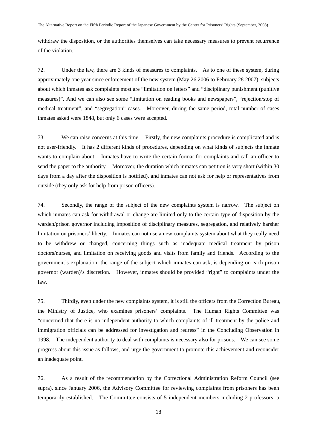withdraw the disposition, or the authorities themselves can take necessary measures to prevent recurrence of the violation.

72. Under the law, there are 3 kinds of measures to complaints. As to one of these system, during approximately one year since enforcement of the new system (May 26 2006 to February 28 2007), subjects about which inmates ask complaints most are "limitation on letters" and "disciplinary punishment (punitive measures)". And we can also see some "limitation on reading books and newspapers", "rejection/stop of medical treatment", and "segregation" cases. Moreover, during the same period, total number of cases inmates asked were 1848, but only 6 cases were accepted.

73. We can raise concerns at this time. Firstly, the new complaints procedure is complicated and is not user-friendly. It has 2 different kinds of procedures, depending on what kinds of subjects the inmate wants to complain about. Inmates have to write the certain format for complaints and call an officer to send the paper to the authority. Moreover, the duration which inmates can petition is very short (within 30 days from a day after the disposition is notified), and inmates can not ask for help or representatives from outside (they only ask for help from prison officers).

74. Secondly, the range of the subject of the new complaints system is narrow. The subject on which inmates can ask for withdrawal or change are limited only to the certain type of disposition by the warden/prison governor including imposition of disciplinary measures, segregation, and relatively harsher limitation on prisoners' liberty. Inmates can not use a new complaints system about what they really need to be withdrew or changed, concerning things such as inadequate medical treatment by prison doctors/nurses, and limitation on receiving goods and visits from family and friends. According to the government's explanation, the range of the subject which inmates can ask, is depending on each prison governor (warden)'s discretion. However, inmates should be provided "right" to complaints under the law.

75. Thirdly, even under the new complaints system, it is still the officers from the Correction Bureau, the Ministry of Justice, who examines prisoners' complaints. The Human Rights Committee was "concerned that there is no independent authority to which complaints of ill-treatment by the police and immigration officials can be addressed for investigation and redress" in the Concluding Observation in 1998. The independent authority to deal with complaints is necessary also for prisons. We can see some progress about this issue as follows, and urge the government to promote this achievement and reconsider an inadequate point.

76. As a result of the recommendation by the Correctional Administration Reform Council (see supra), since January 2006, the Advisory Committee for reviewing complaints from prisoners has been temporarily established. The Committee consists of 5 independent members including 2 professors, a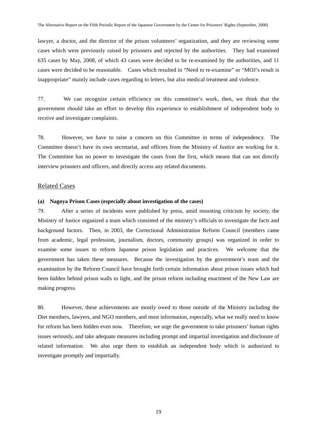lawyer, a doctor, and the director of the prison volunteers' organization, and they are reviewing some cases which were previously raised by prisoners and rejected by the authorities. They had examined 635 cases by May, 2008, of which 43 cases were decided to be re-examined by the authorities, and 11 cases were decided to be reasonable. Cases which resulted in "Need to re-examine" or "MOJ's result is inappropriate" mainly include cases regarding to letters, but also medical treatment and violence.

77. We can recognize certain efficiency on this committee's work, then, we think that the government should take an effort to develop this experience to establishment of independent body to receive and investigate complaints.

78. However, we have to raise a concern on this Committee in terms of independency. The Committee doesn't have its own secretariat, and officers from the Ministry of Justice are working for it. The Committee has no power to investigate the cases from the first, which means that can not directly interview prisoners and officers, and directly access any related documents.

#### Related Cases

#### **(a) Nagoya Prison Cases (especially about investigation of the cases)**

79. After a series of incidents were published by press, amid mounting criticism by society, the Ministry of Justice organized a team which consisted of the ministry's officials to investigate the facts and background factors. Then, in 2003, the Correctional Administration Reform Council (members came from academic, legal profession, journalism, doctors, community groups) was organized in order to examine some issues to reform Japanese prison legislation and practices. We welcome that the government has taken these measures. Because the investigation by the government's team and the examination by the Reform Council have brought forth certain information about prison issues which had been hidden behind prison walls to light, and the prison reform including enactment of the New Law are making progress.

80. However, these achievements are mostly owed to those outside of the Ministry including the Diet members, lawyers, and NGO members, and most information, especially, what we really need to know for reform has been hidden even now. Therefore, we urge the government to take prisoners' human rights issues seriously, and take adequate measures including prompt and impartial investigation and disclosure of related information. We also urge them to establish an independent body which is authorized to investigate promptly and impartially.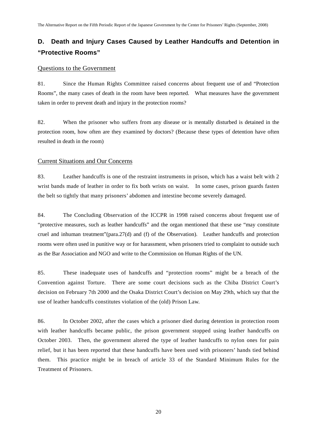# **D. Death and Injury Cases Caused by Leather Handcuffs and Detention in "Protective Rooms"**

#### Questions to the Government

81. Since the Human Rights Committee raised concerns about frequent use of and "Protection Rooms", the many cases of death in the room have been reported. What measures have the government taken in order to prevent death and injury in the protection rooms?

82. When the prisoner who suffers from any disease or is mentally disturbed is detained in the protection room, how often are they examined by doctors? (Because these types of detention have often resulted in death in the room)

#### Current Situations and Our Concerns

83. Leather handcuffs is one of the restraint instruments in prison, which has a waist belt with 2 wrist bands made of leather in order to fix both wrists on waist. In some cases, prison guards fasten the belt so tightly that many prisoners' abdomen and intestine become severely damaged.

84. The Concluding Observation of the ICCPR in 1998 raised concerns about frequent use of "protective measures, such as leather handcuffs" and the organ mentioned that these use "may constitute cruel and inhuman treatment"(para.27(d) and (f) of the Observation). Leather handcuffs and protection rooms were often used in punitive way or for harassment, when prisoners tried to complaint to outside such as the Bar Association and NGO and write to the Commission on Human Rights of the UN.

85. These inadequate uses of handcuffs and "protection rooms" might be a breach of the Convention against Torture. There are some court decisions such as the Chiba District Court's decision on February 7th 2000 and the Osaka District Court's decision on May 29th, which say that the use of leather handcuffs constitutes violation of the (old) Prison Law.

86. In October 2002, after the cases which a prisoner died during detention in protection room with leather handcuffs became public, the prison government stopped using leather handcuffs on October 2003. Then, the government altered the type of leather handcuffs to nylon ones for pain relief, but it has been reported that these handcuffs have been used with prisoners' hands tied behind them. This practice might be in breach of article 33 of the Standard Minimum Rules for the Treatment of Prisoners.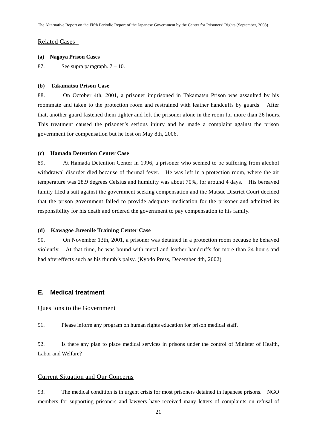#### Related Cases

#### **(a) Nagoya Prison Cases**

87. See supra paragraph.  $7 - 10$ .

#### **(b) Takamatsu Prison Case**

88. On October 4th, 2001, a prisoner imprisoned in Takamatsu Prison was assaulted by his roommate and taken to the protection room and restrained with leather handcuffs by guards. After that, another guard fastened them tighter and left the prisoner alone in the room for more than 26 hours. This treatment caused the prisoner's serious injury and he made a complaint against the prison government for compensation but he lost on May 8th, 2006.

#### **(c) Hamada Detention Center Case**

89. At Hamada Detention Center in 1996, a prisoner who seemed to be suffering from alcohol withdrawal disorder died because of thermal fever. He was left in a protection room, where the air temperature was 28.9 degrees Celsius and humidity was about 70%, for around 4 days. His bereaved family filed a suit against the government seeking compensation and the Matsue District Court decided that the prison government failed to provide adequate medication for the prisoner and admitted its responsibility for his death and ordered the government to pay compensation to his family.

#### **(d) Kawagoe Juvenile Training Center Case**

90. On November 13th, 2001, a prisoner was detained in a protection room because he behaved violently. At that time, he was bound with metal and leather handcuffs for more than 24 hours and had aftereffects such as his thumb's palsy. (Kyodo Press, December 4th, 2002)

#### **E. Medical treatment**

#### Questions to the Government

91. Please inform any program on human rights education for prison medical staff.

92. Is there any plan to place medical services in prisons under the control of Minister of Health, Labor and Welfare?

#### Current Situation and Our Concerns

93. The medical condition is in urgent crisis for most prisoners detained in Japanese prisons. NGO members for supporting prisoners and lawyers have received many letters of complaints on refusal of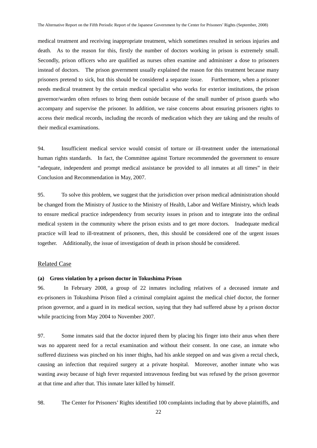medical treatment and receiving inappropriate treatment, which sometimes resulted in serious injuries and death. As to the reason for this, firstly the number of doctors working in prison is extremely small. Secondly, prison officers who are qualified as nurses often examine and administer a dose to prisoners instead of doctors. The prison government usually explained the reason for this treatment because many prisoners pretend to sick, but this should be considered a separate issue. Furthermore, when a prisoner needs medical treatment by the certain medical specialist who works for exterior institutions, the prison governor/warden often refuses to bring them outside because of the small number of prison guards who accompany and supervise the prisoner. In addition, we raise concerns about ensuring prisoners rights to access their medical records, including the records of medication which they are taking and the results of their medical examinations.

94. Insufficient medical service would consist of torture or ill-treatment under the international human rights standards. In fact, the Committee against Torture recommended the government to ensure "adequate, independent and prompt medical assistance be provided to all inmates at all times" in their Conclusion and Recommendation in May, 2007.

95. To solve this problem, we suggest that the jurisdiction over prison medical administration should be changed from the Ministry of Justice to the Ministry of Health, Labor and Welfare Ministry, which leads to ensure medical practice independency from security issues in prison and to integrate into the ordinal medical system in the community where the prison exists and to get more doctors. Inadequate medical practice will lead to ill-treatment of prisoners, then, this should be considered one of the urgent issues together. Additionally, the issue of investigation of death in prison should be considered.

#### Related Case

#### **(a) Gross violation by a prison doctor in Tokushima Prison**

96. In February 2008, a group of 22 inmates including relatives of a deceased inmate and ex-prisoners in Tokushima Prison filed a criminal complaint against the medical chief doctor, the former prison governor, and a guard in its medical section, saying that they had suffered abuse by a prison doctor while practicing from May 2004 to November 2007.

97. Some inmates said that the doctor injured them by placing his finger into their anus when there was no apparent need for a rectal examination and without their consent. In one case, an inmate who suffered dizziness was pinched on his inner thighs, had his ankle stepped on and was given a rectal check, causing an infection that required surgery at a private hospital. Moreover, another inmate who was wasting away because of high fever requested intravenous feeding but was refused by the prison governor at that time and after that. This inmate later killed by himself.

98. The Center for Prisoners' Rights identified 100 complaints including that by above plaintiffs, and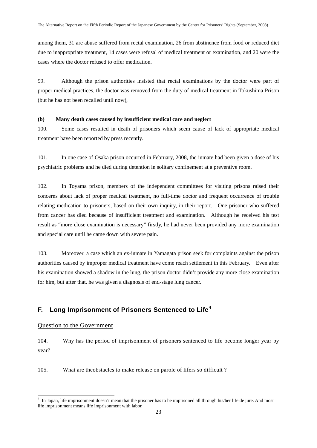among them, 31 are abuse suffered from rectal examination, 26 from abstinence from food or reduced diet due to inappropriate treatment, 14 cases were refusal of medical treatment or examination, and 20 were the cases where the doctor refused to offer medication.

99. Although the prison authorities insisted that rectal examinations by the doctor were part of proper medical practices, the doctor was removed from the duty of medical treatment in Tokushima Prison (but he has not been recalled until now),

#### **(b) Many death cases caused by insufficient medical care and neglect**

100. Some cases resulted in death of prisoners which seem cause of lack of appropriate medical treatment have been reported by press recently.

101. In one case of Osaka prison occurred in February, 2008, the inmate had been given a dose of his psychiatric problems and he died during detention in solitary confinement at a preventive room.

102. In Toyama prison, members of the independent committees for visiting prisons raised their concerns about lack of proper medical treatment, no full-time doctor and frequent occurrence of trouble relating medication to prisoners, based on their own inquiry, in their report. One prisoner who suffered from cancer has died because of insufficient treatment and examination. Although he received his test result as "more close examination is necessary" firstly, he had never been provided any more examination and special care until he came down with severe pain.

103. Moreover, a case which an ex-inmate in Yamagata prison seek for complaints against the prison authorities caused by improper medical treatment have come reach settlement in this February. Even after his examination showed a shadow in the lung, the prison doctor didn't provide any more close examination for him, but after that, he was given a diagnosis of end-stage lung cancer.

# **F. Long Imprisonment of Prisoners Sentenced to Life[4](#page-25-0)**

#### Question to the Government

-

104. Why has the period of imprisonment of prisoners sentenced to life become longer year by year?

105. What are theobstacles to make release on parole of lifers so difficult ?

<span id="page-25-0"></span><sup>&</sup>lt;sup>4</sup> In Japan, life imprisonment doesn't mean that the prisoner has to be imprisoned all through his/her life de jure. And most life imprisonment means life imprisonment with labor.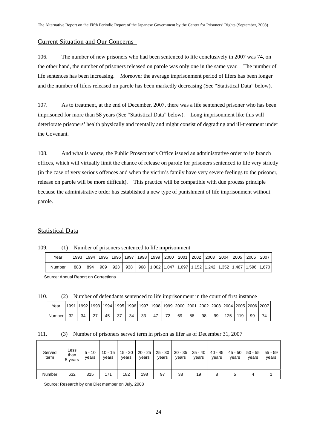# Current Situation and Our Concerns

106. The number of new prisoners who had been sentenced to life conclusively in 2007 was 74, on the other hand, the number of prisoners released on parole was only one in the same year. The number of life sentences has been increasing. Moreover the average imprisonment period of lifers has been longer and the number of lifers released on parole has been markedly decreasing (See "Statistical Data" below).

107. As to treatment, at the end of December, 2007, there was a life sentenced prisoner who has been imprisoned for more than 58 years (See "Statistical Data" below). Long imprisonment like this will deteriorate prisoners' health physically and mentally and might consist of degrading and ill-treatment under the Covenant.

108. And what is worse, the Public Prosecutor's Office issued an administrative order to its branch offices, which will virtually limit the chance of release on parole for prisoners sentenced to life very strictly (in the case of very serious offences and when the victim's family have very severe feelings to the prisoner, release on parole will be more difficult). This practice will be compatible with due process principle because the administrative order has established a new type of punishment of life imprisonment without parole.

### Statistical Data

109. (1) Number of prisoners sentenced to life imprisonment

| Year   | 1993 I | 1994 | 1995 | 1996 | 1997 | 1998 | 1999            | 2000 | 2001 | 2002 | 2003                              | 2004 | 2005   | 2006 | 2007        |
|--------|--------|------|------|------|------|------|-----------------|------|------|------|-----------------------------------|------|--------|------|-------------|
| Number | 883    | 894  | 909  | 923  | 938  | 968  | $1,002$   1,047 |      |      |      | 1.097   1.152   1.242   1.352   1 |      | .1.467 |      | 1.596 1.670 |

Source: Annual Report on Corrections

110. (2) Number of defendants sentenced to life imprisonment in the court of first instance

| Year     |    |    |    |    |    |    |    |    |    |    |    |    |     |     | 1991   1992   1993   1994   1995   1996   1997   1998   1999   2000   2001   2002   2003   2004   2005   2006   2007 |  |
|----------|----|----|----|----|----|----|----|----|----|----|----|----|-----|-----|----------------------------------------------------------------------------------------------------------------------|--|
| Number I | 32 | 34 | 45 | 37 | 34 | 33 | 47 | 72 | 69 | 88 | 98 | 99 | 125 | 119 | 99                                                                                                                   |  |

|  | 111. |  | (3) Number of prisoners served term in prison as lifer as of December 31, 2007 |  |  |  |  |  |  |  |  |
|--|------|--|--------------------------------------------------------------------------------|--|--|--|--|--|--|--|--|
|--|------|--|--------------------------------------------------------------------------------|--|--|--|--|--|--|--|--|

| Served<br>term | Less<br>than<br>5 years | $5 - 10$<br>years | $10 - 15$<br>vears | $15 - 20$<br>years | years | $20 - 25$   25 - 30   30 - 35   35 - 40<br>years | years | years | $40 - 45$<br>vears | 45 - 50<br>years | $50 - 55$<br>years | $55 - 59$<br>years |
|----------------|-------------------------|-------------------|--------------------|--------------------|-------|--------------------------------------------------|-------|-------|--------------------|------------------|--------------------|--------------------|
| Number         | 632                     | 315               | 171                | 182                | 198   | 97                                               | 38    | 19    | 8                  | .5               | 4                  |                    |

Source: Research by one Diet member on July, 2008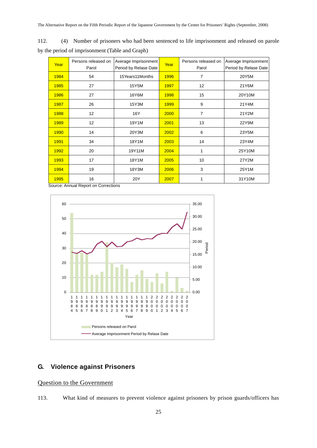| 112. | (4) Number of prisoners who had been sentenced to life imprisonment and released on parole |  |
|------|--------------------------------------------------------------------------------------------|--|
|      | by the period of imprisonment (Table and Graph)                                            |  |

| Year | Persons released on<br>Parol | Average Imprisonment<br>Period by Relase Date | Year | Persons released on<br>Parol | Average Imprisonment<br>Period by Relase Date |
|------|------------------------------|-----------------------------------------------|------|------------------------------|-----------------------------------------------|
| 1984 | 54                           | 15Years11Months                               | 1996 | 7                            | 20Y5M                                         |
| 1985 | 27                           | 15Y5M                                         | 1997 | 12                           | 21Y6M                                         |
| 1986 | 27                           | 16Y6M                                         | 1998 | 15                           | 20Y10M                                        |
| 1987 | 26                           | 15Y3M                                         | 1999 | 9                            | 21Y4M                                         |
| 1988 | 12 <sup>2</sup>              | 16Y                                           | 2000 | $\overline{7}$               | 21Y2M                                         |
| 1989 | 12                           | 19Y1M                                         | 2001 | 13                           | 22Y9M                                         |
| 1990 | 14                           | 20Y3M                                         | 2002 | 6                            | 23Y5M                                         |
| 1991 | 34                           | 18Y1M                                         | 2003 | 14                           | 23Y4M                                         |
| 1992 | 20                           | 19Y11M                                        | 2004 | 1                            | 25Y10M                                        |
| 1993 | 17                           | 18Y1M                                         | 2005 | 10                           | 27Y2M                                         |
| 1994 | 19                           | 18Y3M                                         | 2006 | 3                            | 25Y1M                                         |
| 1995 | 16                           | 20Y                                           | 2007 | 1                            | 31Y10M                                        |

Source: Annual Report on Corrections



# **G. Violence against Prisoners**

# Question to the Government

113. What kind of measures to prevent violence against prisoners by prison guards/officers has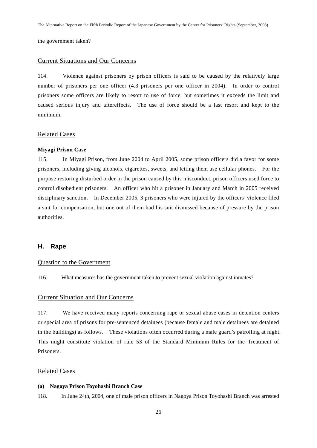the government taken?

#### Current Situations and Our Concerns

114. Violence against prisoners by prison officers is said to be caused by the relatively large number of prisoners per one officer (4.3 prisoners per one officer in 2004). In order to control prisoners some officers are likely to resort to use of force, but sometimes it exceeds the limit and caused serious injury and aftereffects. The use of force should be a last resort and kept to the minimum.

#### Related Cases

#### **Miyagi Prison Case**

115. In Miyagi Prison, from June 2004 to April 2005, some prison officers did a favor for some prisoners, including giving alcohols, cigarettes, sweets, and letting them use cellular phones. For the purpose restoring disturbed order in the prison caused by this misconduct, prison officers used force to control disobedient prisoners. An officer who hit a prisoner in January and March in 2005 received disciplinary sanction. In December 2005, 3 prisoners who were injured by the officers' violence filed a suit for compensation, but one out of them had his suit dismissed because of pressure by the prison authorities.

#### **H. Rape**

#### Question to the Government

116. What measures has the government taken to prevent sexual violation against inmates?

#### Current Situation and Our Concerns

117. We have received many reports concerning rape or sexual abuse cases in detention centers or special area of prisons for pre-sentenced detainees (because female and male detainees are detained in the buildings) as follows. These violations often occurred during a male guard's patrolling at night. This might constitute violation of rule 53 of the Standard Minimum Rules for the Treatment of Prisoners.

#### Related Cases

#### **(a) Nagoya Prison Toyohashi Branch Case**

118. In June 24th, 2004, one of male prison officers in Nagoya Prison Toyohashi Branch was arrested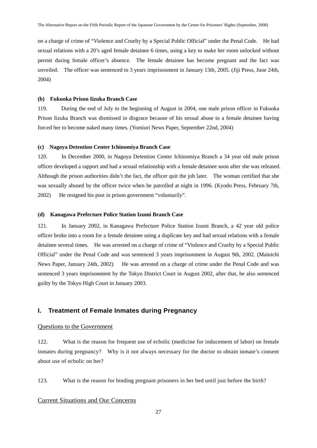on a charge of crime of "Violence and Cruelty by a Special Public Official" under the Penal Code. He had sexual relations with a 20's aged female detainee 6 times, using a key to make her room unlocked without permit during female officer's absence. The female detainee has become pregnant and the fact was unveiled. The officer was sentenced to 3 years imprisonment in January 13th, 2005. (Jiji Press, June 24th, 2004)

#### **(b) Fukuoka Prison Iizuka Branch Case**

119. During the end of July to the beginning of August in 2004, one male prison officer in Fukuoka Prison Iizuka Branch was dismissed in disgrace because of his sexual abuse to a female detainee having forced her to become naked many times. (Yomiuri News Paper, September 22nd, 2004)

#### **(c) Nagoya Detention Center Ichinomiya Branch Case**

120. In December 2000, in Nagoya Detention Center Ichinomiya Branch a 34 year old male prison officer developed a rapport and had a sexual relationship with a female detainee soon after she was released. Although the prison authorities didn't the fact, the officer quit the job later. The woman certified that she was sexually abused by the officer twice when he patrolled at night in 1996. (Kyodo Press, February 7th, 2002) He resigned his post in prison government "voluntarily".

#### **(d) Kanagawa Prefecture Police Station Izumi Branch Case**

121. In January 2002, in Kanagawa Prefecture Police Station Izumi Branch, a 42 year old police officer broke into a room for a female detainee using a duplicate key and had sexual relations with a female detainee several times. He was arrested on a charge of crime of "Violence and Cruelty by a Special Public Official" under the Penal Code and was sentenced 3 years imprisonment in August 9th, 2002. (Mainichi News Paper, January 24th, 2002) He was arrested on a charge of crime under the Penal Code and was sentenced 3 years imprisonment by the Tokyo District Court in August 2002, after that, he also sentenced guilty by the Tokyo High Court in January 2003.

### **I. Treatment of Female Inmates during Pregnancy**

#### Questions to the Government

122. What is the reason for frequent use of ecbolic (medicine for inducement of labor) on female inmates during pregnancy? Why is it not always necessary for the doctor to obtain inmate's consent about use of ecbolic on her?

123. What is the reason for binding pregnant prisoners in her bed until just before the birth?

#### Current Situations and Our Concerns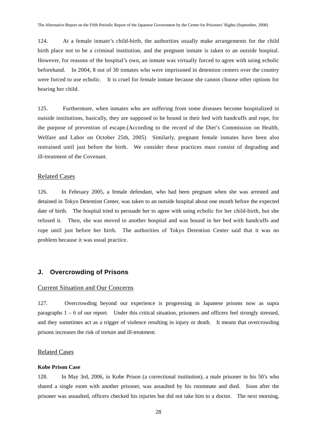124. At a female inmate's child-birth, the authorities usually make arrangements for the child birth place not to be a criminal institution, and the pregnant inmate is taken to an outside hospital. However, for reasons of the hospital's own, an inmate was virtually forced to agree with using ecbolic beforehand. In 2004, 8 out of 30 inmates who were imprisoned in detention centers over the country were forced to use ecbolic. It is cruel for female inmate because she cannot choose other options for bearing her child.

125. Furthermore, when inmates who are suffering from some diseases become hospitalized in outside institutions, basically, they are supposed to be bound in their bed with handcuffs and rope, for the purpose of prevention of escape.(According to the record of the Diet's Commission on Health, Welfare and Labor on October 25th, 2005) Similarly, pregnant female inmates have been also restrained until just before the birth. We consider these practices must consist of degrading and ill-treatment of the Covenant.

#### Related Cases

126. In February 2005, a female defendant, who had been pregnant when she was arrested and detained in Tokyo Detention Center, was taken to an outside hospital about one month before the expected date of birth. The hospital tried to persuade her to agree with using ecbolic for her child-birth, but she refused it. Then, she was moved to another hospital and was bound in her bed with handcuffs and rope until just before her birth. The authorities of Tokyo Detention Center said that it was no problem because it was usual practice.

#### **J. Overcrowding of Prisons**

#### Current Situation and Our Concerns

127. Overcrowding beyond our experience is progressing in Japanese prisons now as supra paragraphs 1 – 6 of our report. Under this critical situation, prisoners and officers feel strongly stressed, and they sometimes act as a trigger of violence resulting in injury or death. It means that overcrowding prisons increases the risk of torture and ill-treatment.

#### Related Cases

#### **Kobe Prison Case**

128. In May 3rd, 2006, in Kobe Prison (a correctional institution), a male prisoner in his 50's who shared a single room with another prisoner, was assaulted by his roommate and died. Soon after the prisoner was assaulted, officers checked his injuries but did not take him to a doctor. The next morning,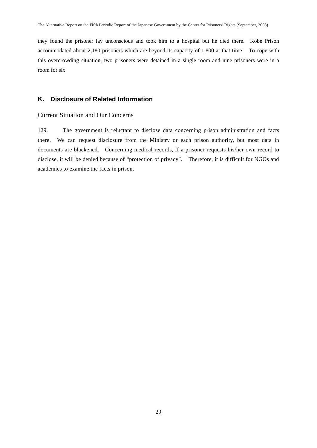they found the prisoner lay unconscious and took him to a hospital but he died there. Kobe Prison accommodated about 2,180 prisoners which are beyond its capacity of 1,800 at that time. To cope with this overcrowding situation, two prisoners were detained in a single room and nine prisoners were in a room for six.

# **K. Disclosure of Related Information**

#### Current Situation and Our Concerns

129. The government is reluctant to disclose data concerning prison administration and facts there. We can request disclosure from the Ministry or each prison authority, but most data in documents are blackened. Concerning medical records, if a prisoner requests his/her own record to disclose, it will be denied because of "protection of privacy". Therefore, it is difficult for NGOs and academics to examine the facts in prison.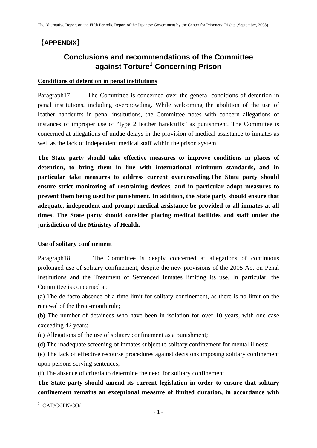# 【**APPENDIX**】

# **Conclusions and recommendations of the Committee against Torture[1](#page-32-0) Concerning Prison**

# **Conditions of detention in penal institutions**

Paragraph17. The Committee is concerned over the general conditions of detention in penal institutions, including overcrowding. While welcoming the abolition of the use of leather handcuffs in penal institutions, the Committee notes with concern allegations of instances of improper use of "type 2 leather handcuffs" as punishment. The Committee is concerned at allegations of undue delays in the provision of medical assistance to inmates as well as the lack of independent medical staff within the prison system.

**The State party should take effective measures to improve conditions in places of detention, to bring them in line with international minimum standards, and in particular take measures to address current overcrowding.The State party should ensure strict monitoring of restraining devices, and in particular adopt measures to prevent them being used for punishment. In addition, the State party should ensure that adequate, independent and prompt medical assistance be provided to all inmates at all times. The State party should consider placing medical facilities and staff under the jurisdiction of the Ministry of Health.** 

# **Use of solitary confinement**

Paragraph18. The Committee is deeply concerned at allegations of continuous prolonged use of solitary confinement, despite the new provisions of the 2005 Act on Penal Institutions and the Treatment of Sentenced Inmates limiting its use. In particular, the Committee is concerned at:

(a) The de facto absence of a time limit for solitary confinement, as there is no limit on the renewal of the three-month rule;

(b) The number of detainees who have been in isolation for over 10 years, with one case exceeding 42 years;

(c) Allegations of the use of solitary confinement as a punishment;

(d) The inadequate screening of inmates subject to solitary confinement for mental illness;

(e) The lack of effective recourse procedures against decisions imposing solitary confinement upon persons serving sentences;

(f) The absence of criteria to determine the need for solitary confinement.

**The State party should amend its current legislation in order to ensure that solitary confinement remains an exceptional measure of limited duration, in accordance with** 

<span id="page-32-0"></span><sup>&</sup>lt;sup>1</sup> CAT/C/JPN/CO/1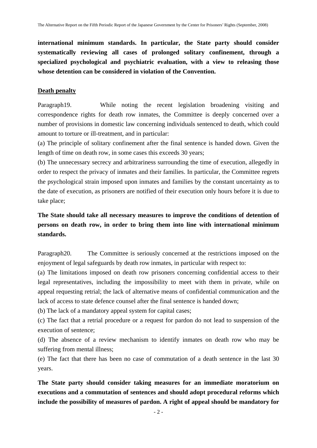**international minimum standards. In particular, the State party should consider systematically reviewing all cases of prolonged solitary confinement, through a specialized psychological and psychiatric evaluation, with a view to releasing those whose detention can be considered in violation of the Convention.** 

# **Death penalty**

Paragraph19. While noting the recent legislation broadening visiting and correspondence rights for death row inmates, the Committee is deeply concerned over a number of provisions in domestic law concerning individuals sentenced to death, which could amount to torture or ill-treatment, and in particular:

(a) The principle of solitary confinement after the final sentence is handed down. Given the length of time on death row, in some cases this exceeds 30 years;

(b) The unnecessary secrecy and arbitrariness surrounding the time of execution, allegedly in order to respect the privacy of inmates and their families. In particular, the Committee regrets the psychological strain imposed upon inmates and families by the constant uncertainty as to the date of execution, as prisoners are notified of their execution only hours before it is due to take place;

# **The State should take all necessary measures to improve the conditions of detention of persons on death row, in order to bring them into line with international minimum standards.**

Paragraph20. The Committee is seriously concerned at the restrictions imposed on the enjoyment of legal safeguards by death row inmates, in particular with respect to:

(a) The limitations imposed on death row prisoners concerning confidential access to their legal representatives, including the impossibility to meet with them in private, while on appeal requesting retrial; the lack of alternative means of confidential communication and the lack of access to state defence counsel after the final sentence is handed down;

(b) The lack of a mandatory appeal system for capital cases;

(c) The fact that a retrial procedure or a request for pardon do not lead to suspension of the execution of sentence;

(d) The absence of a review mechanism to identify inmates on death row who may be suffering from mental illness;

(e) The fact that there has been no case of commutation of a death sentence in the last 30 years.

**The State party should consider taking measures for an immediate moratorium on executions and a commutation of sentences and should adopt procedural reforms which include the possibility of measures of pardon. A right of appeal should be mandatory for**